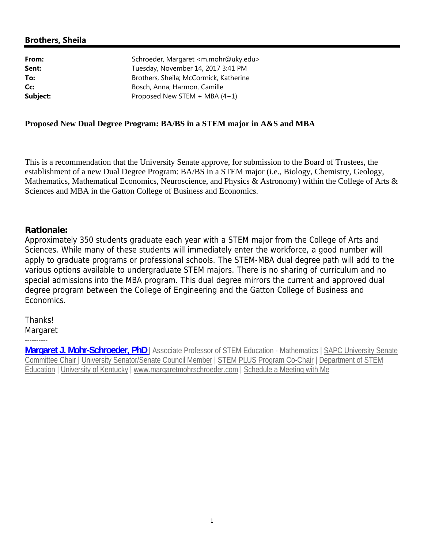## **Brothers, Sheila**

| From:    | Schroeder, Margaret <m.mohr@uky.edu></m.mohr@uky.edu> |
|----------|-------------------------------------------------------|
| Sent:    | Tuesday, November 14, 2017 3:41 PM                    |
| To:      | Brothers, Sheila; McCormick, Katherine                |
| Cc:      | Bosch, Anna; Harmon, Camille                          |
| Subject: | Proposed New STEM $+$ MBA (4+1)                       |

## **Proposed New Dual Degree Program: BA/BS in a STEM major in A&S and MBA**

This is a recommendation that the University Senate approve, for submission to the Board of Trustees, the establishment of a new Dual Degree Program: BA/BS in a STEM major (i.e., Biology, Chemistry, Geology, Mathematics, Mathematical Economics, Neuroscience, and Physics & Astronomy) within the College of Arts & Sciences and MBA in the Gatton College of Business and Economics.

## **Rationale:**

Approximately 350 students graduate each year with a STEM major from the College of Arts and Sciences. While many of these students will immediately enter the workforce, a good number will apply to graduate programs or professional schools. The STEM-MBA dual degree path will add to the various options available to undergraduate STEM majors. There is no sharing of curriculum and no special admissions into the MBA program. This dual degree mirrors the current and approved dual degree program between the College of Engineering and the Gatton College of Business and Economics.

Thanks!

Margaret ----------

**Margaret J. Mohr-Schroeder, PhD** | Associate Professor of STEM Education - Mathematics | SAPC University Senate Committee Chair | University Senator/Senate Council Member | STEM PLUS Program Co-Chair | Department of STEM Education | University of Kentucky | www.margaretmohrschroeder.com | Schedule a Meeting with Me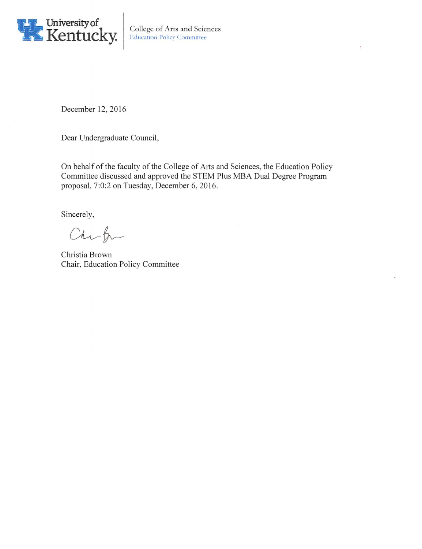

December 12, 2016

Dear Undergraduate Council,

On behalf of the faculty of the College of Arts and Sciences, the Education Policy Committee discussed and approved the STEM Plus MBA Dual Degree Program proposal. 7:0:2 on Tuesday, December 6, 2016.

Sincerely,

Chrk

Christia Brown Chair, Education Policy Committee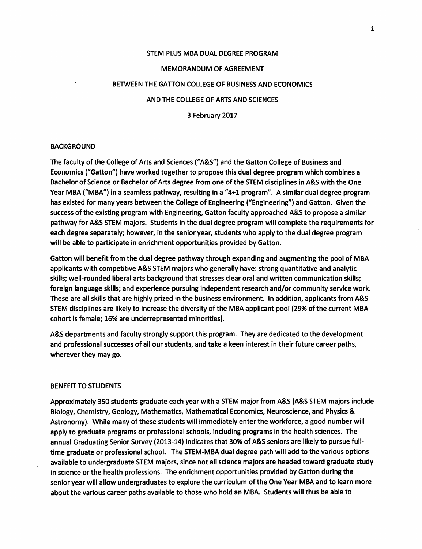# STEM PLUS MBA DUAL DEGREE PROGRAM

#### **MEMORANDUM OF AGREEMENT**

#### BETWEEN THE GATTON COLLEGE OF BUSINESS AND ECONOMICS

#### AND THE COLLEGE OF ARTS AND SCIENCES

3 February 2017

#### **BACKGROUND**

The faculty of the College of Arts and Sciences ("A&S") and the Gatton College of Business and Economics ("Gatton") have worked together to propose this dual degree program which combines a Bachelor of Science or Bachelor of Arts degree from one of the STEM disciplines in A&S with the One Year MBA ("MBA") in a seamless pathway, resulting in a "4+1 program". A similar dual degree program has existed for many years between the College of Engineering ("Engineering") and Gatton. Given the success of the existing program with Engineering, Gatton faculty approached A&S to propose a similar pathway for A&S STEM majors. Students in the dual degree program will complete the requirements for each degree separately; however, in the senior year, students who apply to the dual degree program will be able to participate in enrichment opportunities provided by Gatton.

Gatton will benefit from the dual degree pathway through expanding and augmenting the pool of MBA applicants with competitive A&S STEM majors who generally have: strong quantitative and analytic skills; well-rounded liberal arts background that stresses clear oral and written communication skills; foreign language skills; and experience pursuing independent research and/or community service work. These are all skills that are highly prized in the business environment. In addition, applicants from A&S STEM disciplines are likely to increase the diversity of the MBA applicant pool (29% of the current MBA cohort is female; 16% are underrepresented minorities).

A&S departments and faculty strongly support this program. They are dedicated to the development and professional successes of all our students, and take a keen interest in their future career paths, wherever they may go.

#### **BENEFIT TO STUDENTS**

Approximately 350 students graduate each year with a STEM major from A&S (A&S STEM majors include Biology, Chemistry, Geology, Mathematics, Mathematical Economics, Neuroscience, and Physics & Astronomy). While many of these students will immediately enter the workforce, a good number will apply to graduate programs or professional schools, including programs in the health sciences. The annual Graduating Senior Survey (2013-14) indicates that 30% of A&S seniors are likely to pursue fulltime graduate or professional school. The STEM-MBA dual degree path will add to the various options available to undergraduate STEM majors, since not all science majors are headed toward graduate study in science or the health professions. The enrichment opportunities provided by Gatton during the senior year will allow undergraduates to explore the curriculum of the One Year MBA and to learn more about the various career paths available to those who hold an MBA. Students will thus be able to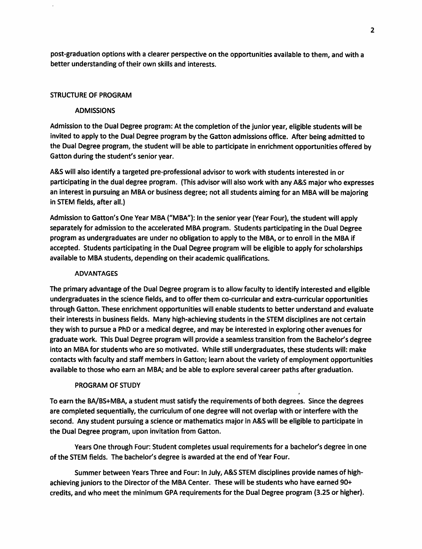post-graduation options with a clearer perspective on the opportunities available to them, and with a better understanding of their own skills and interests.

#### **STRUCTURE OF PROGRAM**

#### **ADMISSIONS**

Admission to the Dual Degree program: At the completion of the junior year, eligible students will be invited to apply to the Dual Degree program by the Gatton admissions office. After being admitted to the Dual Degree program, the student will be able to participate in enrichment opportunities offered by Gatton during the student's senior year.

A&S will also identify a targeted pre-professional advisor to work with students interested in or participating in the dual degree program. (This advisor will also work with any A&S major who expresses an interest in pursuing an MBA or business degree; not all students aiming for an MBA will be majoring in STEM fields, after all.)

Admission to Gatton's One Year MBA ("MBA"): In the senior year (Year Four), the student will apply separately for admission to the accelerated MBA program. Students participating in the Dual Degree program as undergraduates are under no obligation to apply to the MBA, or to enroll in the MBA if accepted. Students participating in the Dual Degree program will be eligible to apply for scholarships available to MBA students, depending on their academic qualifications.

#### **ADVANTAGES**

The primary advantage of the Dual Degree program is to allow faculty to identify interested and eligible undergraduates in the science fields, and to offer them co-curricular and extra-curricular opportunities through Gatton. These enrichment opportunities will enable students to better understand and evaluate their interests in business fields. Many high-achieving students in the STEM disciplines are not certain they wish to pursue a PhD or a medical degree, and may be interested in exploring other avenues for graduate work. This Dual Degree program will provide a seamless transition from the Bachelor's degree into an MBA for students who are so motivated. While still undergraduates, these students will: make contacts with faculty and staff members in Gatton; learn about the variety of employment opportunities available to those who earn an MBA; and be able to explore several career paths after graduation.

#### PROGRAM OF STUDY

To earn the BA/BS+MBA, a student must satisfy the requirements of both degrees. Since the degrees are completed sequentially, the curriculum of one degree will not overlap with or interfere with the second. Any student pursuing a science or mathematics major in A&S will be eligible to participate in the Dual Degree program, upon invitation from Gatton.

Years One through Four: Student completes usual requirements for a bachelor's degree in one of the STEM fields. The bachelor's degree is awarded at the end of Year Four.

Summer between Years Three and Four: In July, A&S STEM disciplines provide names of highachieving juniors to the Director of the MBA Center. These will be students who have earned 90+ credits, and who meet the minimum GPA requirements for the Dual Degree program (3.25 or higher).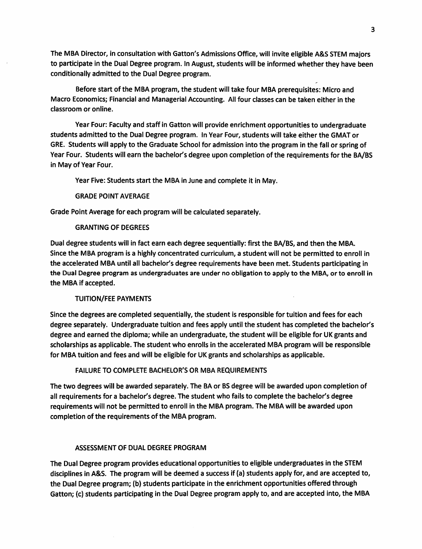The MBA Director, in consultation with Gatton's Admissions Office, will invite eligible A&S STEM majors to participate in the Dual Degree program. In August, students will be informed whether they have been conditionally admitted to the Dual Degree program.

Before start of the MBA program, the student will take four MBA prerequisites: Micro and Macro Economics; Financial and Managerial Accounting. All four classes can be taken either in the classroom or online.

Year Four: Faculty and staff in Gatton will provide enrichment opportunities to undergraduate students admitted to the Dual Degree program. In Year Four, students will take either the GMAT or GRE. Students will apply to the Graduate School for admission into the program in the fall or spring of Year Four. Students will earn the bachelor's degree upon completion of the requirements for the BA/BS in May of Year Four.

Year Five: Students start the MBA in June and complete it in May.

#### **GRADE POINT AVERAGE**

Grade Point Average for each program will be calculated separately.

#### **GRANTING OF DEGREES**

Dual degree students will in fact earn each degree sequentially: first the BA/BS, and then the MBA. Since the MBA program is a highly concentrated curriculum, a student will not be permitted to enroll in the accelerated MBA until all bachelor's degree requirements have been met. Students participating in the Dual Degree program as undergraduates are under no obligation to apply to the MBA, or to enroll in the MBA if accepted.

#### **TUITION/FEE PAYMENTS**

Since the degrees are completed sequentially, the student is responsible for tuition and fees for each degree separately. Undergraduate tuition and fees apply until the student has completed the bachelor's degree and earned the diploma; while an undergraduate, the student will be eligible for UK grants and scholarships as applicable. The student who enrolls in the accelerated MBA program will be responsible for MBA tuition and fees and will be eligible for UK grants and scholarships as applicable.

## **FAILURE TO COMPLETE BACHELOR'S OR MBA REQUIREMENTS**

The two degrees will be awarded separately. The BA or BS degree will be awarded upon completion of all requirements for a bachelor's degree. The student who fails to complete the bachelor's degree requirements will not be permitted to enroll in the MBA program. The MBA will be awarded upon completion of the requirements of the MBA program.

## ASSESSMENT OF DUAL DEGREE PROGRAM

The Dual Degree program provides educational opportunities to eligible undergraduates in the STEM disciplines in A&S. The program will be deemed a success if (a) students apply for, and are accepted to, the Dual Degree program; (b) students participate in the enrichment opportunities offered through Gatton; (c) students participating in the Dual Degree program apply to, and are accepted into, the MBA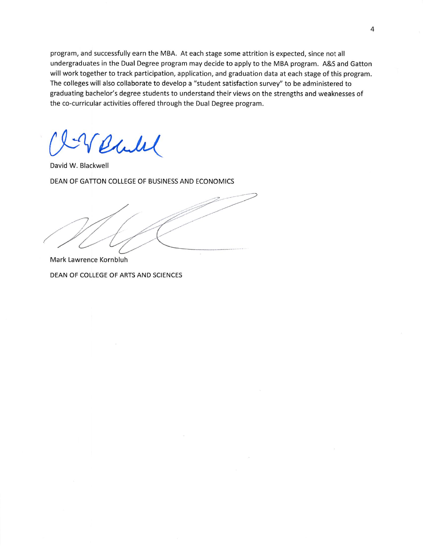program, and successfully earn the MBA. At each stage some attrition is expected, since not all undergraduates in the Dual Degree program may decide to apply to the MBA program. A&S and Gatton will work together to track participation, application, and graduation data at each stage of this program. The colleges will also collaborate to develop a "student satisfaction survey" to be administered to graduating bachelor's degree students to understand their views on the strengths and weaknesses of the co-curricular activities offered through the Dual Degree program.

Chile

David W. Blackwell

DEAN OF GATTON COLLEGE OF BUSINESS AND ECONOMICS

Mark Lawrence Kornbluh DEAN OF COLLEGE OF ARTS AND SCIENCES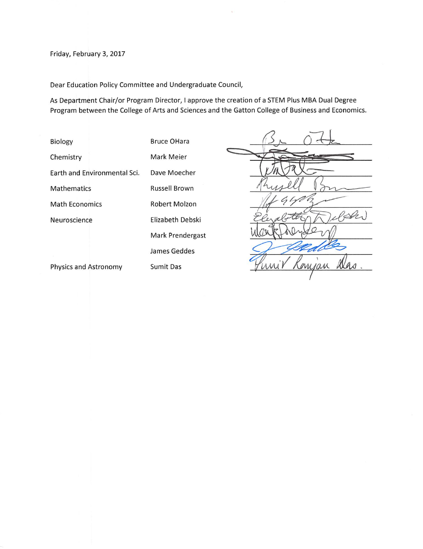#### Friday, February 3, 2017

Dear Education Policy Committee and Undergraduate Council,

As Department Chair/or Program Director, I approve the creation of a STEM Plus MBA Dual Degree Program between the College of Arts and Sciences and the Gatton College of Business and Economics.

**Bruce OHara** Biology Mark Meier Chemistry Earth and Environmental Sci. Dave Moecher Russell Brown Mathematics Robert Molzon **Math Economics** Neuroscience Elizabeth Debski Mark Prendergast James Geddes Physics and Astronomy Sumit Das

ran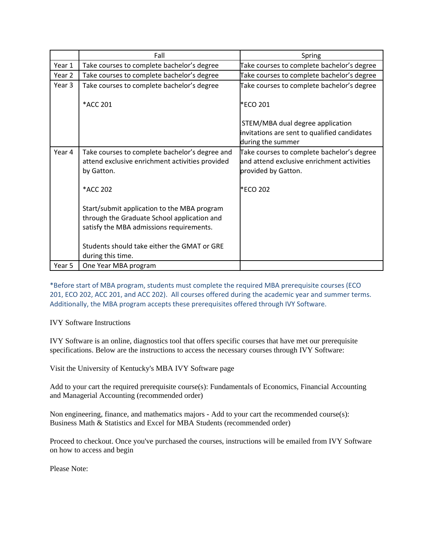|        | Fall                                                                                                                                   | Spring                                                                                                          |
|--------|----------------------------------------------------------------------------------------------------------------------------------------|-----------------------------------------------------------------------------------------------------------------|
| Year 1 | Take courses to complete bachelor's degree                                                                                             | Take courses to complete bachelor's degree                                                                      |
| Year 2 | Take courses to complete bachelor's degree                                                                                             | Take courses to complete bachelor's degree                                                                      |
| Year 3 | Take courses to complete bachelor's degree                                                                                             | Take courses to complete bachelor's degree                                                                      |
|        | *ACC 201                                                                                                                               | *ECO 201                                                                                                        |
|        |                                                                                                                                        | STEM/MBA dual degree application                                                                                |
|        |                                                                                                                                        | invitations are sent to qualified candidates                                                                    |
|        |                                                                                                                                        | during the summer                                                                                               |
| Year 4 | Take courses to complete bachelor's degree and<br>attend exclusive enrichment activities provided<br>by Gatton.                        | Take courses to complete bachelor's degree<br>and attend exclusive enrichment activities<br>provided by Gatton. |
|        | *ACC 202                                                                                                                               | *ECO 202                                                                                                        |
|        | Start/submit application to the MBA program<br>through the Graduate School application and<br>satisfy the MBA admissions requirements. |                                                                                                                 |
|        | Students should take either the GMAT or GRE<br>during this time.                                                                       |                                                                                                                 |
| Year 5 | One Year MBA program                                                                                                                   |                                                                                                                 |

\*Before start of MBA program, students must complete the required MBA prerequisite courses (ECO 201, ECO 202, ACC 201, and ACC 202). All courses offered during the academic year and summer terms. Additionally, the MBA program accepts these prerequisites offered through IVY Software.

IVY Software Instructions

IVY Software is an online, diagnostics tool that offers specific courses that have met our prerequisite specifications. Below are the instructions to access the necessary courses through IVY Software:

Visit the University of Kentucky's MBA IVY Software page

Add to your cart the required prerequisite course(s): Fundamentals of Economics, Financial Accounting and Managerial Accounting (recommended order)

Non engineering, finance, and mathematics majors - Add to your cart the recommended course(s): Business Math & Statistics and Excel for MBA Students (recommended order)

Proceed to checkout. Once you've purchased the courses, instructions will be emailed from IVY Software on how to access and begin

Please Note: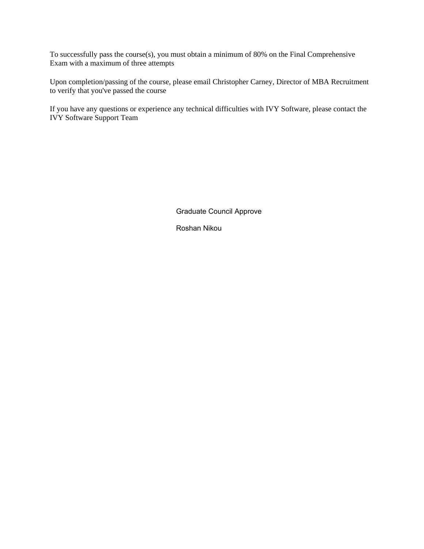To successfully pass the course(s), you must obtain a minimum of 80% on the Final Comprehensive Exam with a maximum of three attempts

Upon completion/passing of the course, please email Christopher Carney, Director of MBA Recruitment to verify that you've passed the course

If you have any questions or experience any technical difficulties with IVY Software, please contact the IVY Software Support Team

Graduate Council Approve

Roshan Nikou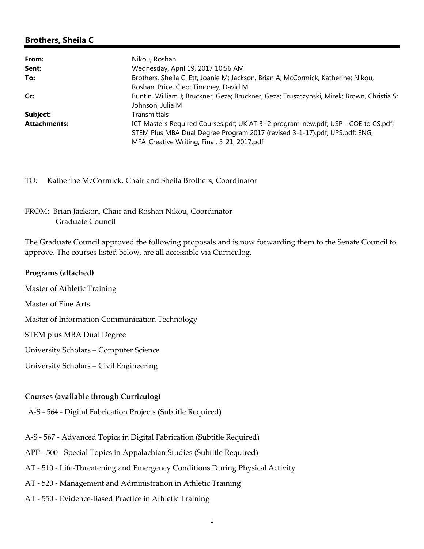## **Brothers, Sheila C**

| From:               | Nikou, Roshan                                                                              |  |
|---------------------|--------------------------------------------------------------------------------------------|--|
| Sent:               | Wednesday, April 19, 2017 10:56 AM                                                         |  |
| To:                 | Brothers, Sheila C; Ett, Joanie M; Jackson, Brian A; McCormick, Katherine; Nikou,          |  |
|                     | Roshan; Price, Cleo; Timoney, David M                                                      |  |
| Cc:                 | Buntin, William J; Bruckner, Geza; Bruckner, Geza; Truszczynski, Mirek; Brown, Christia S; |  |
|                     | Johnson, Julia M                                                                           |  |
| Subject:            | Transmittals                                                                               |  |
| <b>Attachments:</b> | ICT Masters Required Courses.pdf; UK AT 3+2 program-new.pdf; USP - COE to CS.pdf;          |  |
|                     | STEM Plus MBA Dual Degree Program 2017 (revised 3-1-17).pdf; UPS.pdf; ENG,                 |  |
|                     | MFA_Creative Writing, Final, 3_21, 2017.pdf                                                |  |

TO: Katherine McCormick, Chair and Sheila Brothers, Coordinator

FROM: Brian Jackson, Chair and Roshan Nikou, Coordinator Graduate Council

The Graduate Council approved the following proposals and is now forwarding them to the Senate Council to approve. The courses listed below, are all accessible via Curriculog.

#### **Programs (attached)**

Master of Athletic Training

Master of Fine Arts

Master of Information Communication Technology

STEM plus MBA Dual Degree

University Scholars – Computer Science

University Scholars – Civil Engineering

## **Courses (available through Curriculog)**

A‐S ‐ 564 ‐ Digital Fabrication Projects (Subtitle Required)

- A‐S ‐ 567 ‐ Advanced Topics in Digital Fabrication (Subtitle Required)
- APP ‐ 500 ‐ Special Topics in Appalachian Studies (Subtitle Required)
- AT ‐ 510 ‐ Life‐Threatening and Emergency Conditions During Physical Activity
- AT ‐ 520 ‐ Management and Administration in Athletic Training
- AT ‐ 550 ‐ Evidence‐Based Practice in Athletic Training